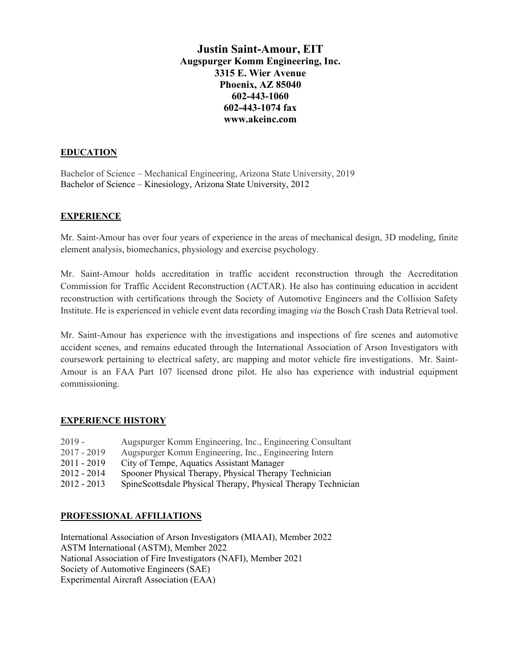# **Justin Saint-Amour, EIT Augspurger Komm Engineering, Inc. 3315 E. Wier Avenue Phoenix, AZ 85040 602-443-1060 602-443-1074 fax www.akeinc.com**

### **EDUCATION**

Bachelor of Science – Mechanical Engineering, Arizona State University, 2019 Bachelor of Science – Kinesiology, Arizona State University, 2012

#### **EXPERIENCE**

Mr. Saint-Amour has over four years of experience in the areas of mechanical design, 3D modeling, finite element analysis, biomechanics, physiology and exercise psychology.

Mr. Saint-Amour holds accreditation in traffic accident reconstruction through the Accreditation Commission for Traffic Accident Reconstruction (ACTAR). He also has continuing education in accident reconstruction with certifications through the Society of Automotive Engineers and the Collision Safety Institute. He is experienced in vehicle event data recording imaging *via* the Bosch Crash Data Retrieval tool.

Mr. Saint-Amour has experience with the investigations and inspections of fire scenes and automotive accident scenes, and remains educated through the International Association of Arson Investigators with coursework pertaining to electrical safety, arc mapping and motor vehicle fire investigations. Mr. Saint-Amour is an FAA Part 107 licensed drone pilot. He also has experience with industrial equipment commissioning.

#### **EXPERIENCE HISTORY**

| $2019 -$      | Augspurger Komm Engineering, Inc., Engineering Consultant     |
|---------------|---------------------------------------------------------------|
| $2017 - 2019$ | Augspurger Komm Engineering, Inc., Engineering Intern         |
| $2011 - 2019$ | City of Tempe, Aquatics Assistant Manager                     |
| $2012 - 2014$ | Spooner Physical Therapy, Physical Therapy Technician         |
| $2012 - 2013$ | SpineScottsdale Physical Therapy, Physical Therapy Technician |

# **PROFESSIONAL AFFILIATIONS**

International Association of Arson Investigators (MIAAI), Member 2022 ASTM International (ASTM), Member 2022 National Association of Fire Investigators (NAFI), Member 2021 Society of Automotive Engineers (SAE) Experimental Aircraft Association (EAA)